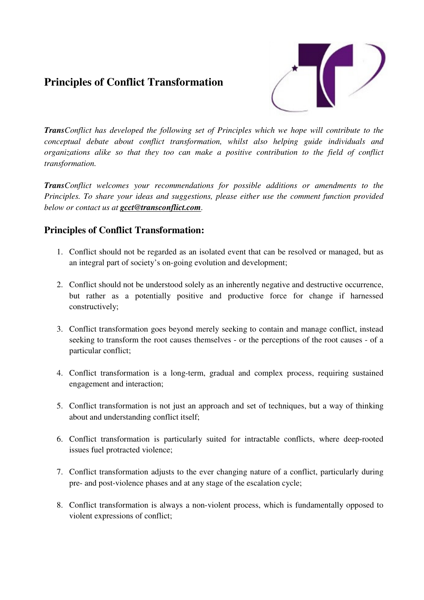## **Principles of Conflict Transformation**



*TransConflict has developed the following set of Principles which we hope will contribute to the conceptual debate about conflict transformation, whilst also helping guide individuals and organizations alike so that they too can make a positive contribution to the field of conflict transformation.* 

*TransConflict welcomes your recommendations for possible additions or amendments to the Principles. To share your ideas and suggestions, please either use the comment function provided below or contact us at gcct@transconflict.com.* 

## **Principles of Conflict Transformation:**

- 1. Conflict should not be regarded as an isolated event that can be resolved or managed, but as an integral part of society's on-going evolution and development;
- 2. Conflict should not be understood solely as an inherently negative and destructive occurrence, but rather as a potentially positive and productive force for change if harnessed constructively;
- 3. Conflict transformation goes beyond merely seeking to contain and manage conflict, instead seeking to transform the root causes themselves - or the perceptions of the root causes - of a particular conflict;
- 4. Conflict transformation is a long-term, gradual and complex process, requiring sustained engagement and interaction;
- 5. Conflict transformation is not just an approach and set of techniques, but a way of thinking about and understanding conflict itself;
- 6. Conflict transformation is particularly suited for intractable conflicts, where deep-rooted issues fuel protracted violence;
- 7. Conflict transformation adjusts to the ever changing nature of a conflict, particularly during pre- and post-violence phases and at any stage of the escalation cycle;
- 8. Conflict transformation is always a non-violent process, which is fundamentally opposed to violent expressions of conflict;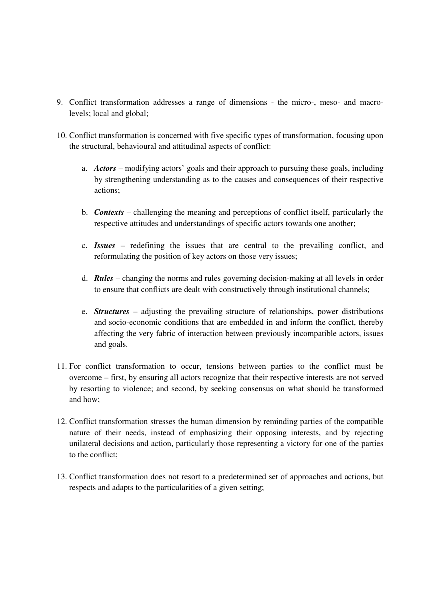- 9. Conflict transformation addresses a range of dimensions the micro-, meso- and macrolevels; local and global;
- 10. Conflict transformation is concerned with five specific types of transformation, focusing upon the structural, behavioural and attitudinal aspects of conflict:
	- a. *Actors* modifying actors' goals and their approach to pursuing these goals, including by strengthening understanding as to the causes and consequences of their respective actions;
	- b. *Contexts* challenging the meaning and perceptions of conflict itself, particularly the respective attitudes and understandings of specific actors towards one another;
	- c. *Issues* redefining the issues that are central to the prevailing conflict, and reformulating the position of key actors on those very issues;
	- d. *Rules* changing the norms and rules governing decision-making at all levels in order to ensure that conflicts are dealt with constructively through institutional channels;
	- e. *Structures* adjusting the prevailing structure of relationships, power distributions and socio-economic conditions that are embedded in and inform the conflict, thereby affecting the very fabric of interaction between previously incompatible actors, issues and goals.
- 11. For conflict transformation to occur, tensions between parties to the conflict must be overcome – first, by ensuring all actors recognize that their respective interests are not served by resorting to violence; and second, by seeking consensus on what should be transformed and how;
- 12. Conflict transformation stresses the human dimension by reminding parties of the compatible nature of their needs, instead of emphasizing their opposing interests, and by rejecting unilateral decisions and action, particularly those representing a victory for one of the parties to the conflict;
- 13. Conflict transformation does not resort to a predetermined set of approaches and actions, but respects and adapts to the particularities of a given setting;